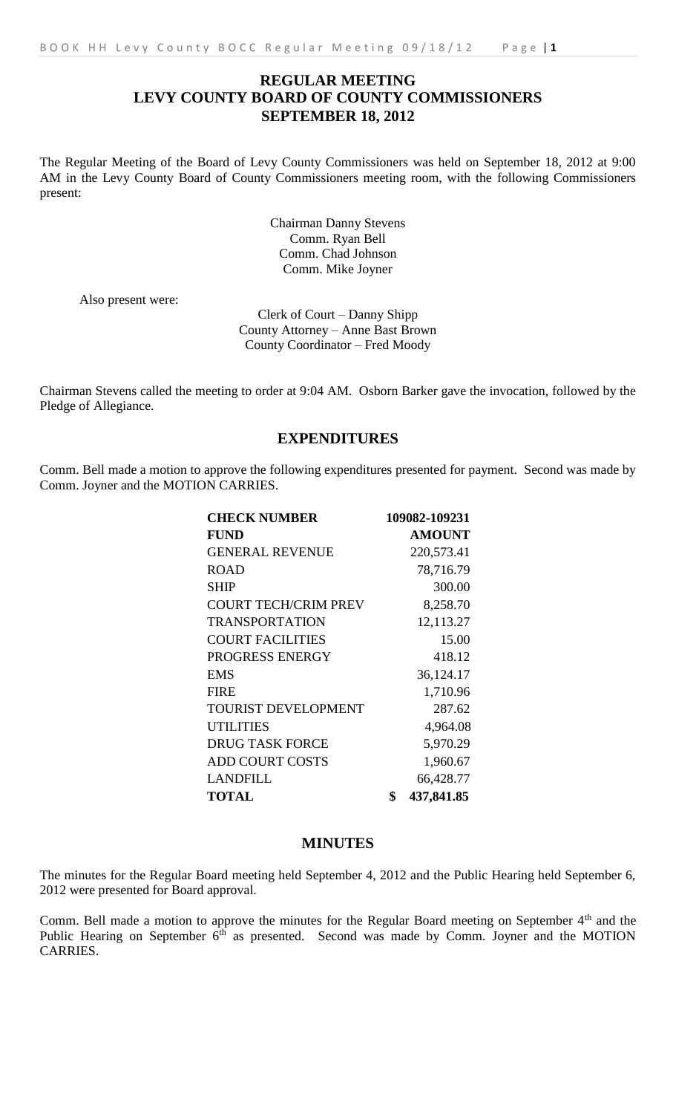# **REGULAR MEETING LEVY COUNTY BOARD OF COUNTY COMMISSIONERS SEPTEMBER 18, 2012**

The Regular Meeting of the Board of Levy County Commissioners was held on September 18, 2012 at 9:00 AM in the Levy County Board of County Commissioners meeting room, with the following Commissioners present:

> Chairman Danny Stevens Comm. Ryan Bell Comm. Chad Johnson Comm. Mike Joyner

Also present were:

Clerk of Court – Danny Shipp County Attorney – Anne Bast Brown County Coordinator – Fred Moody

Chairman Stevens called the meeting to order at 9:04 AM. Osborn Barker gave the invocation, followed by the Pledge of Allegiance.

# **EXPENDITURES**

Comm. Bell made a motion to approve the following expenditures presented for payment. Second was made by Comm. Joyner and the MOTION CARRIES.

| <b>CHECK NUMBER</b>         | 109082-109231    |
|-----------------------------|------------------|
| <b>FUND</b>                 | <b>AMOUNT</b>    |
| <b>GENERAL REVENUE</b>      | 220,573.41       |
| <b>ROAD</b>                 | 78,716.79        |
| <b>SHIP</b>                 | 300.00           |
| <b>COURT TECH/CRIM PREV</b> | 8,258.70         |
| <b>TRANSPORTATION</b>       | 12,113.27        |
| <b>COURT FACILITIES</b>     | 15.00            |
| PROGRESS ENERGY             | 418.12           |
| <b>EMS</b>                  | 36,124.17        |
| <b>FIRE</b>                 | 1,710.96         |
| <b>TOURIST DEVELOPMENT</b>  | 287.62           |
| <b>UTILITIES</b>            | 4,964.08         |
| <b>DRUG TASK FORCE</b>      | 5,970.29         |
| <b>ADD COURT COSTS</b>      | 1,960.67         |
| LANDFILL                    | 66,428.77        |
| <b>TOTAL</b>                | \$<br>437,841.85 |

#### **MINUTES**

The minutes for the Regular Board meeting held September 4, 2012 and the Public Hearing held September 6, 2012 were presented for Board approval.

Comm. Bell made a motion to approve the minutes for the Regular Board meeting on September 4<sup>th</sup> and the Public Hearing on September 6<sup>th</sup> as presented. Second was made by Comm. Joyner and the MOTION CARRIES.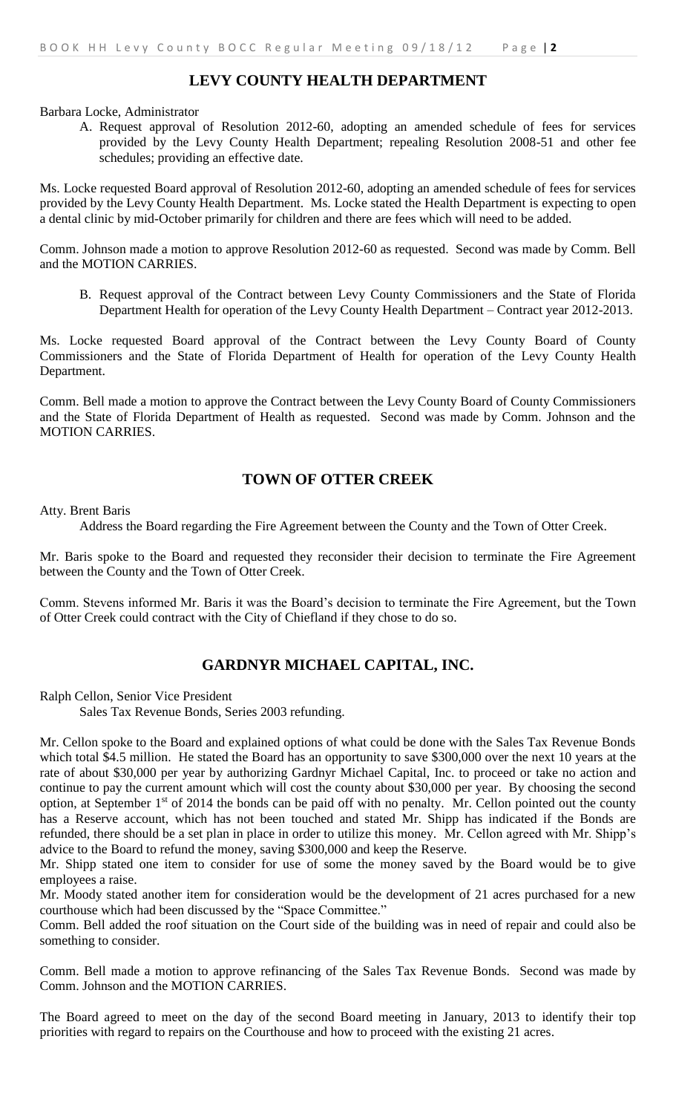# **LEVY COUNTY HEALTH DEPARTMENT**

Barbara Locke, Administrator

A. Request approval of Resolution 2012-60, adopting an amended schedule of fees for services provided by the Levy County Health Department; repealing Resolution 2008-51 and other fee schedules; providing an effective date.

Ms. Locke requested Board approval of Resolution 2012-60, adopting an amended schedule of fees for services provided by the Levy County Health Department. Ms. Locke stated the Health Department is expecting to open a dental clinic by mid-October primarily for children and there are fees which will need to be added.

Comm. Johnson made a motion to approve Resolution 2012-60 as requested. Second was made by Comm. Bell and the MOTION CARRIES.

B. Request approval of the Contract between Levy County Commissioners and the State of Florida Department Health for operation of the Levy County Health Department – Contract year 2012-2013.

Ms. Locke requested Board approval of the Contract between the Levy County Board of County Commissioners and the State of Florida Department of Health for operation of the Levy County Health Department.

Comm. Bell made a motion to approve the Contract between the Levy County Board of County Commissioners and the State of Florida Department of Health as requested. Second was made by Comm. Johnson and the MOTION CARRIES.

#### **TOWN OF OTTER CREEK**

Atty. Brent Baris

Address the Board regarding the Fire Agreement between the County and the Town of Otter Creek.

Mr. Baris spoke to the Board and requested they reconsider their decision to terminate the Fire Agreement between the County and the Town of Otter Creek.

Comm. Stevens informed Mr. Baris it was the Board's decision to terminate the Fire Agreement, but the Town of Otter Creek could contract with the City of Chiefland if they chose to do so.

## **GARDNYR MICHAEL CAPITAL, INC.**

Ralph Cellon, Senior Vice President

Sales Tax Revenue Bonds, Series 2003 refunding.

Mr. Cellon spoke to the Board and explained options of what could be done with the Sales Tax Revenue Bonds which total \$4.5 million. He stated the Board has an opportunity to save \$300,000 over the next 10 years at the rate of about \$30,000 per year by authorizing Gardnyr Michael Capital, Inc. to proceed or take no action and continue to pay the current amount which will cost the county about \$30,000 per year. By choosing the second option, at September 1st of 2014 the bonds can be paid off with no penalty. Mr. Cellon pointed out the county has a Reserve account, which has not been touched and stated Mr. Shipp has indicated if the Bonds are refunded, there should be a set plan in place in order to utilize this money. Mr. Cellon agreed with Mr. Shipp's advice to the Board to refund the money, saving \$300,000 and keep the Reserve.

Mr. Shipp stated one item to consider for use of some the money saved by the Board would be to give employees a raise.

Mr. Moody stated another item for consideration would be the development of 21 acres purchased for a new courthouse which had been discussed by the "Space Committee."

Comm. Bell added the roof situation on the Court side of the building was in need of repair and could also be something to consider.

Comm. Bell made a motion to approve refinancing of the Sales Tax Revenue Bonds. Second was made by Comm. Johnson and the MOTION CARRIES.

The Board agreed to meet on the day of the second Board meeting in January, 2013 to identify their top priorities with regard to repairs on the Courthouse and how to proceed with the existing 21 acres.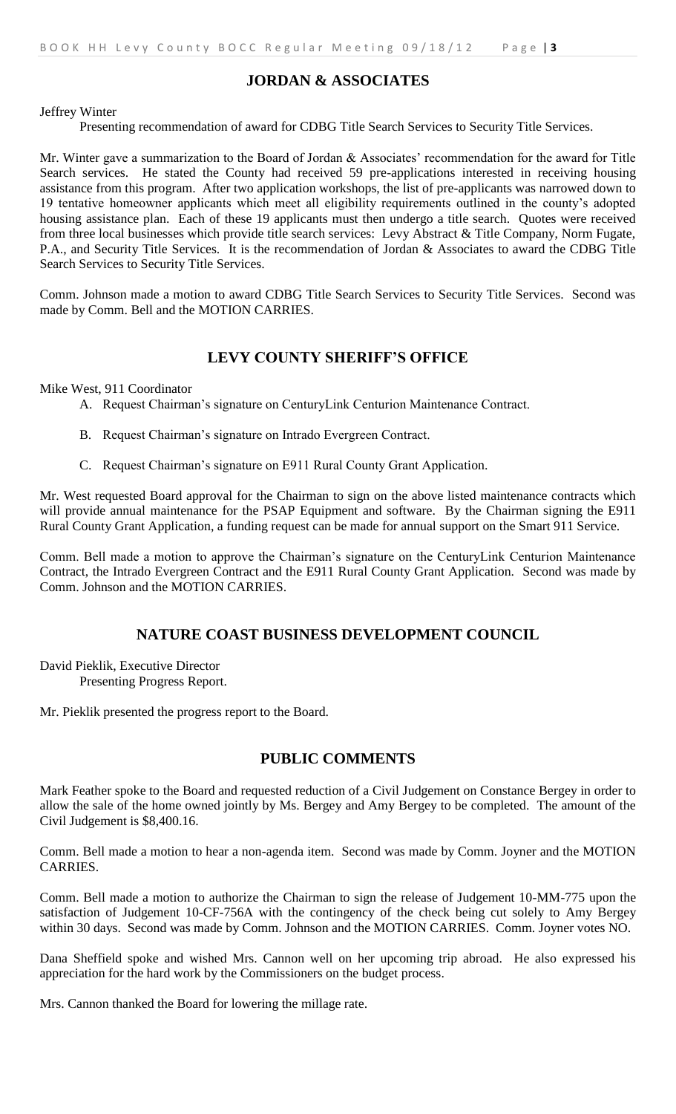# **JORDAN & ASSOCIATES**

Jeffrey Winter

Presenting recommendation of award for CDBG Title Search Services to Security Title Services.

Mr. Winter gave a summarization to the Board of Jordan & Associates' recommendation for the award for Title Search services. He stated the County had received 59 pre-applications interested in receiving housing assistance from this program. After two application workshops, the list of pre-applicants was narrowed down to 19 tentative homeowner applicants which meet all eligibility requirements outlined in the county's adopted housing assistance plan. Each of these 19 applicants must then undergo a title search. Quotes were received from three local businesses which provide title search services: Levy Abstract & Title Company, Norm Fugate, P.A., and Security Title Services. It is the recommendation of Jordan & Associates to award the CDBG Title Search Services to Security Title Services.

Comm. Johnson made a motion to award CDBG Title Search Services to Security Title Services. Second was made by Comm. Bell and the MOTION CARRIES.

#### **LEVY COUNTY SHERIFF'S OFFICE**

Mike West, 911 Coordinator

- A. Request Chairman's signature on CenturyLink Centurion Maintenance Contract.
- B. Request Chairman's signature on Intrado Evergreen Contract.
- C. Request Chairman's signature on E911 Rural County Grant Application.

Mr. West requested Board approval for the Chairman to sign on the above listed maintenance contracts which will provide annual maintenance for the PSAP Equipment and software. By the Chairman signing the E911 Rural County Grant Application, a funding request can be made for annual support on the Smart 911 Service.

Comm. Bell made a motion to approve the Chairman's signature on the CenturyLink Centurion Maintenance Contract, the Intrado Evergreen Contract and the E911 Rural County Grant Application. Second was made by Comm. Johnson and the MOTION CARRIES.

#### **NATURE COAST BUSINESS DEVELOPMENT COUNCIL**

David Pieklik, Executive Director Presenting Progress Report.

Mr. Pieklik presented the progress report to the Board.

## **PUBLIC COMMENTS**

Mark Feather spoke to the Board and requested reduction of a Civil Judgement on Constance Bergey in order to allow the sale of the home owned jointly by Ms. Bergey and Amy Bergey to be completed. The amount of the Civil Judgement is \$8,400.16.

Comm. Bell made a motion to hear a non-agenda item. Second was made by Comm. Joyner and the MOTION CARRIES.

Comm. Bell made a motion to authorize the Chairman to sign the release of Judgement 10-MM-775 upon the satisfaction of Judgement 10-CF-756A with the contingency of the check being cut solely to Amy Bergey within 30 days. Second was made by Comm. Johnson and the MOTION CARRIES. Comm. Joyner votes NO.

Dana Sheffield spoke and wished Mrs. Cannon well on her upcoming trip abroad. He also expressed his appreciation for the hard work by the Commissioners on the budget process.

Mrs. Cannon thanked the Board for lowering the millage rate.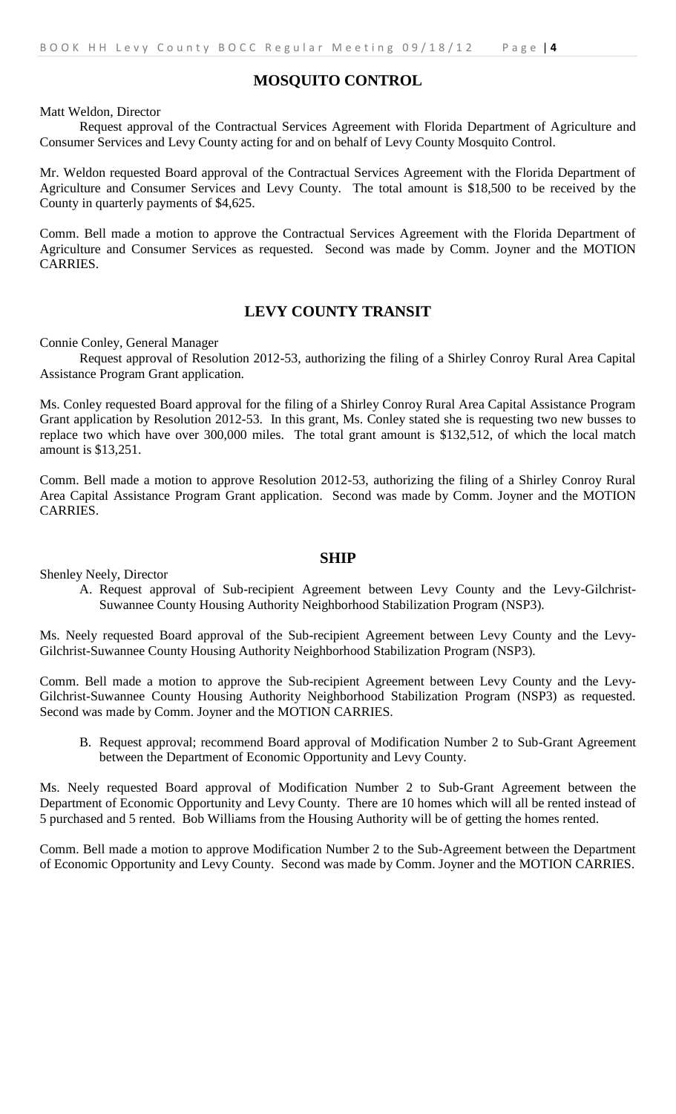### **MOSQUITO CONTROL**

Matt Weldon, Director

Request approval of the Contractual Services Agreement with Florida Department of Agriculture and Consumer Services and Levy County acting for and on behalf of Levy County Mosquito Control.

Mr. Weldon requested Board approval of the Contractual Services Agreement with the Florida Department of Agriculture and Consumer Services and Levy County. The total amount is \$18,500 to be received by the County in quarterly payments of \$4,625.

Comm. Bell made a motion to approve the Contractual Services Agreement with the Florida Department of Agriculture and Consumer Services as requested. Second was made by Comm. Joyner and the MOTION CARRIES.

### **LEVY COUNTY TRANSIT**

Connie Conley, General Manager

Request approval of Resolution 2012-53, authorizing the filing of a Shirley Conroy Rural Area Capital Assistance Program Grant application.

Ms. Conley requested Board approval for the filing of a Shirley Conroy Rural Area Capital Assistance Program Grant application by Resolution 2012-53. In this grant, Ms. Conley stated she is requesting two new busses to replace two which have over 300,000 miles. The total grant amount is \$132,512, of which the local match amount is \$13,251.

Comm. Bell made a motion to approve Resolution 2012-53, authorizing the filing of a Shirley Conroy Rural Area Capital Assistance Program Grant application. Second was made by Comm. Joyner and the MOTION CARRIES.

#### **SHIP**

Shenley Neely, Director

A. Request approval of Sub-recipient Agreement between Levy County and the Levy-Gilchrist-Suwannee County Housing Authority Neighborhood Stabilization Program (NSP3).

Ms. Neely requested Board approval of the Sub-recipient Agreement between Levy County and the Levy-Gilchrist-Suwannee County Housing Authority Neighborhood Stabilization Program (NSP3).

Comm. Bell made a motion to approve the Sub-recipient Agreement between Levy County and the Levy-Gilchrist-Suwannee County Housing Authority Neighborhood Stabilization Program (NSP3) as requested. Second was made by Comm. Joyner and the MOTION CARRIES.

B. Request approval; recommend Board approval of Modification Number 2 to Sub-Grant Agreement between the Department of Economic Opportunity and Levy County.

Ms. Neely requested Board approval of Modification Number 2 to Sub-Grant Agreement between the Department of Economic Opportunity and Levy County. There are 10 homes which will all be rented instead of 5 purchased and 5 rented. Bob Williams from the Housing Authority will be of getting the homes rented.

Comm. Bell made a motion to approve Modification Number 2 to the Sub-Agreement between the Department of Economic Opportunity and Levy County. Second was made by Comm. Joyner and the MOTION CARRIES.